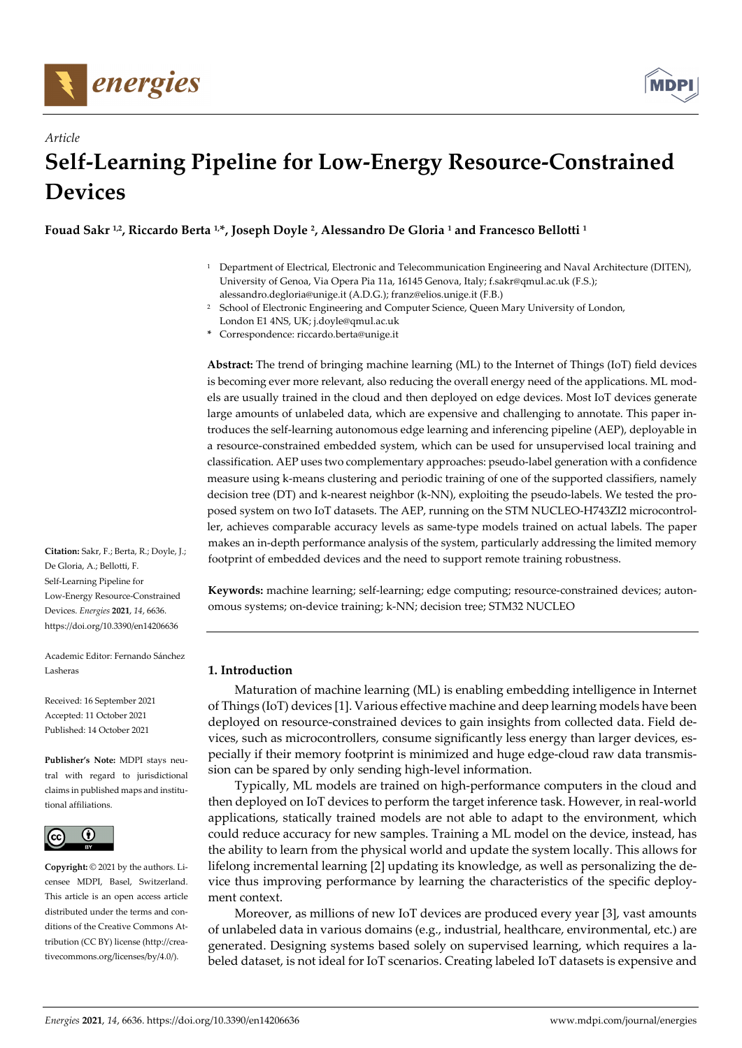



# *Article*  **Self-Learning Pipeline for Low-Energy Resource-Constrained Devices**

# **Fouad Sakr 1,2, Riccardo Berta 1,\*, Joseph Doyle 2, Alessandro De Gloria 1 and Francesco Bellotti 1**

- 1 Department of Electrical, Electronic and Telecommunication Engineering and Naval Architecture (DITEN), University of Genoa, Via Opera Pia 11a, 16145 Genova, Italy; f.sakr@qmul.ac.uk (F.S.); alessandro.degloria@unige.it (A.D.G.); franz@elios.unige.it (F.B.)
- School of Electronic Engineering and Computer Science, Queen Mary University of London, London E1 4NS, UK; j.doyle@qmul.ac.uk
- **\*** Correspondence: riccardo.berta@unige.it

**Abstract:** The trend of bringing machine learning (ML) to the Internet of Things (IoT) field devices is becoming ever more relevant, also reducing the overall energy need of the applications. ML models are usually trained in the cloud and then deployed on edge devices. Most IoT devices generate large amounts of unlabeled data, which are expensive and challenging to annotate. This paper introduces the self-learning autonomous edge learning and inferencing pipeline (AEP), deployable in a resource-constrained embedded system, which can be used for unsupervised local training and classification. AEP uses two complementary approaches: pseudo-label generation with a confidence measure using k-means clustering and periodic training of one of the supported classifiers, namely decision tree (DT) and k-nearest neighbor (k-NN), exploiting the pseudo-labels. We tested the proposed system on two IoT datasets. The AEP, running on the STM NUCLEO-H743ZI2 microcontroller, achieves comparable accuracy levels as same-type models trained on actual labels. The paper makes an in-depth performance analysis of the system, particularly addressing the limited memory footprint of embedded devices and the need to support remote training robustness.

**Keywords:** machine learning; self-learning; edge computing; resource-constrained devices; autonomous systems; on-device training; k-NN; decision tree; STM32 NUCLEO

# **1. Introduction**

Maturation of machine learning (ML) is enabling embedding intelligence in Internet of Things (IoT) devices [1]. Various effective machine and deep learning models have been deployed on resource-constrained devices to gain insights from collected data. Field devices, such as microcontrollers, consume significantly less energy than larger devices, especially if their memory footprint is minimized and huge edge-cloud raw data transmission can be spared by only sending high-level information.

Typically, ML models are trained on high-performance computers in the cloud and then deployed on IoT devices to perform the target inference task. However, in real-world applications, statically trained models are not able to adapt to the environment, which could reduce accuracy for new samples. Training a ML model on the device, instead, has the ability to learn from the physical world and update the system locally. This allows for lifelong incremental learning [2] updating its knowledge, as well as personalizing the device thus improving performance by learning the characteristics of the specific deployment context.

Moreover, as millions of new IoT devices are produced every year [3], vast amounts of unlabeled data in various domains (e.g., industrial, healthcare, environmental, etc.) are generated. Designing systems based solely on supervised learning, which requires a labeled dataset, is not ideal for IoT scenarios. Creating labeled IoT datasets is expensive and

**Citation:** Sakr, F.; Berta, R.; Doyle, J.; De Gloria, A.; Bellotti, F. Self-Learning Pipeline for Low-Energy Resource-Constrained Devices. *Energies* **2021**, *14*, 6636. https://doi.org/10.3390/en14206636

Academic Editor: Fernando Sánchez Lasheras

Received: 16 September 2021 Accepted: 11 October 2021 Published: 14 October 2021

**Publisher's Note:** MDPI stays neutral with regard to jurisdictional claims in published maps and institutional affiliations.



**Copyright:** © 2021 by the authors. Licensee MDPI, Basel, Switzerland. This article is an open access article distributed under the terms and conditions of the Creative Commons Attribution (CC BY) license (http://creativecommons.org/licenses/by/4.0/).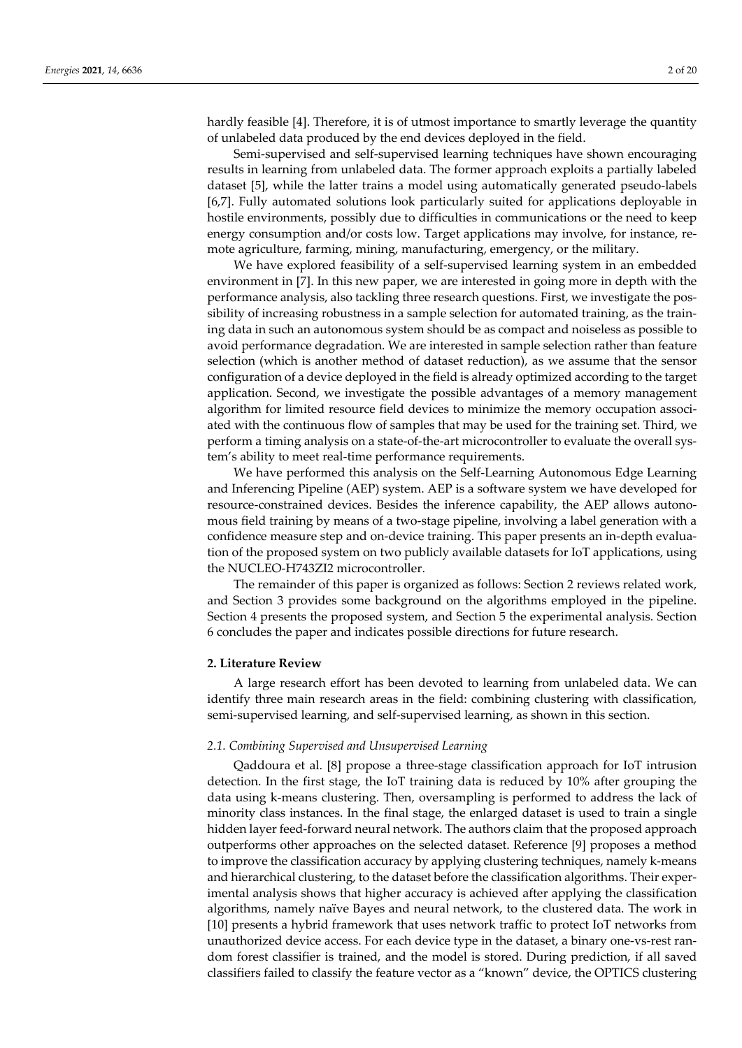hardly feasible [4]. Therefore, it is of utmost importance to smartly leverage the quantity of unlabeled data produced by the end devices deployed in the field.

Semi-supervised and self-supervised learning techniques have shown encouraging results in learning from unlabeled data. The former approach exploits a partially labeled dataset [5], while the latter trains a model using automatically generated pseudo-labels [6,7]. Fully automated solutions look particularly suited for applications deployable in hostile environments, possibly due to difficulties in communications or the need to keep energy consumption and/or costs low. Target applications may involve, for instance, remote agriculture, farming, mining, manufacturing, emergency, or the military.

We have explored feasibility of a self-supervised learning system in an embedded environment in [7]. In this new paper, we are interested in going more in depth with the performance analysis, also tackling three research questions. First, we investigate the possibility of increasing robustness in a sample selection for automated training, as the training data in such an autonomous system should be as compact and noiseless as possible to avoid performance degradation. We are interested in sample selection rather than feature selection (which is another method of dataset reduction), as we assume that the sensor configuration of a device deployed in the field is already optimized according to the target application. Second, we investigate the possible advantages of a memory management algorithm for limited resource field devices to minimize the memory occupation associated with the continuous flow of samples that may be used for the training set. Third, we perform a timing analysis on a state-of-the-art microcontroller to evaluate the overall system's ability to meet real-time performance requirements.

We have performed this analysis on the Self-Learning Autonomous Edge Learning and Inferencing Pipeline (AEP) system. AEP is a software system we have developed for resource-constrained devices. Besides the inference capability, the AEP allows autonomous field training by means of a two-stage pipeline, involving a label generation with a confidence measure step and on-device training. This paper presents an in-depth evaluation of the proposed system on two publicly available datasets for IoT applications, using the NUCLEO-H743ZI2 microcontroller.

The remainder of this paper is organized as follows: Section 2 reviews related work, and Section 3 provides some background on the algorithms employed in the pipeline. Section 4 presents the proposed system, and Section 5 the experimental analysis. Section 6 concludes the paper and indicates possible directions for future research.

# **2. Literature Review**

A large research effort has been devoted to learning from unlabeled data. We can identify three main research areas in the field: combining clustering with classification, semi-supervised learning, and self-supervised learning, as shown in this section.

# *2.1. Combining Supervised and Unsupervised Learning*

Qaddoura et al. [8] propose a three-stage classification approach for IoT intrusion detection. In the first stage, the IoT training data is reduced by 10% after grouping the data using k-means clustering. Then, oversampling is performed to address the lack of minority class instances. In the final stage, the enlarged dataset is used to train a single hidden layer feed-forward neural network. The authors claim that the proposed approach outperforms other approaches on the selected dataset. Reference [9] proposes a method to improve the classification accuracy by applying clustering techniques, namely k-means and hierarchical clustering, to the dataset before the classification algorithms. Their experimental analysis shows that higher accuracy is achieved after applying the classification algorithms, namely naïve Bayes and neural network, to the clustered data. The work in [10] presents a hybrid framework that uses network traffic to protect IoT networks from unauthorized device access. For each device type in the dataset, a binary one-vs-rest random forest classifier is trained, and the model is stored. During prediction, if all saved classifiers failed to classify the feature vector as a "known" device, the OPTICS clustering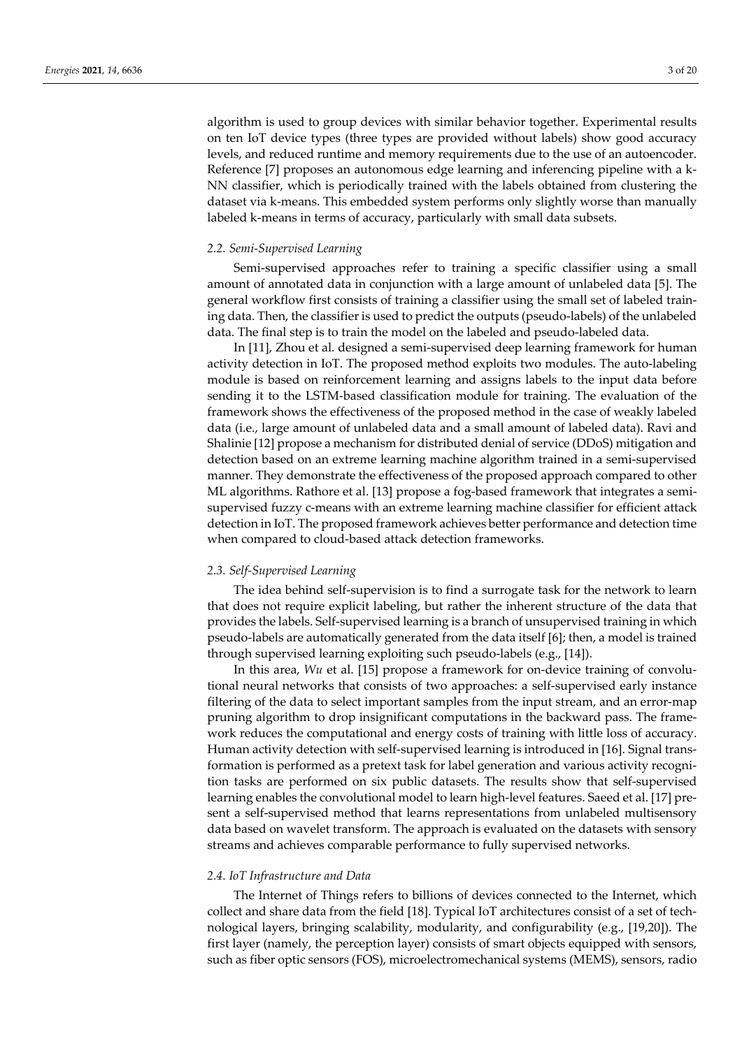algorithm is used to group devices with similar behavior together. Experimental results on ten IoT device types (three types are provided without labels) show good accuracy levels, and reduced runtime and memory requirements due to the use of an autoencoder. Reference [7] proposes an autonomous edge learning and inferencing pipeline with a k-NN classifier, which is periodically trained with the labels obtained from clustering the dataset via k-means. This embedded system performs only slightly worse than manually labeled k-means in terms of accuracy, particularly with small data subsets.

# *2.2. Semi-Supervised Learning*

Semi-supervised approaches refer to training a specific classifier using a small amount of annotated data in conjunction with a large amount of unlabeled data [5]. The general workflow first consists of training a classifier using the small set of labeled training data. Then, the classifier is used to predict the outputs (pseudo-labels) of the unlabeled data. The final step is to train the model on the labeled and pseudo-labeled data.

In [11], Zhou et al. designed a semi-supervised deep learning framework for human activity detection in IoT. The proposed method exploits two modules. The auto-labeling module is based on reinforcement learning and assigns labels to the input data before sending it to the LSTM-based classification module for training. The evaluation of the framework shows the effectiveness of the proposed method in the case of weakly labeled data (i.e., large amount of unlabeled data and a small amount of labeled data). Ravi and Shalinie [12] propose a mechanism for distributed denial of service (DDoS) mitigation and detection based on an extreme learning machine algorithm trained in a semi-supervised manner. They demonstrate the effectiveness of the proposed approach compared to other ML algorithms. Rathore et al. [13] propose a fog-based framework that integrates a semisupervised fuzzy c-means with an extreme learning machine classifier for efficient attack detection in IoT. The proposed framework achieves better performance and detection time when compared to cloud-based attack detection frameworks.

# *2.3. Self-Supervised Learning*

The idea behind self-supervision is to find a surrogate task for the network to learn that does not require explicit labeling, but rather the inherent structure of the data that provides the labels. Self-supervised learning is a branch of unsupervised training in which pseudo-labels are automatically generated from the data itself [6]; then, a model is trained through supervised learning exploiting such pseudo-labels (e.g., [14]).

In this area, *Wu* et al. [15] propose a framework for on-device training of convolutional neural networks that consists of two approaches: a self-supervised early instance filtering of the data to select important samples from the input stream, and an error-map pruning algorithm to drop insignificant computations in the backward pass. The framework reduces the computational and energy costs of training with little loss of accuracy. Human activity detection with self-supervised learning is introduced in [16]. Signal transformation is performed as a pretext task for label generation and various activity recognition tasks are performed on six public datasets. The results show that self-supervised learning enables the convolutional model to learn high-level features. Saeed et al. [17] present a self-supervised method that learns representations from unlabeled multisensory data based on wavelet transform. The approach is evaluated on the datasets with sensory streams and achieves comparable performance to fully supervised networks.

# *2.4. IoT Infrastructure and Data*

The Internet of Things refers to billions of devices connected to the Internet, which collect and share data from the field [18]. Typical IoT architectures consist of a set of technological layers, bringing scalability, modularity, and configurability (e.g., [19,20]). The first layer (namely, the perception layer) consists of smart objects equipped with sensors, such as fiber optic sensors (FOS), microelectromechanical systems (MEMS), sensors, radio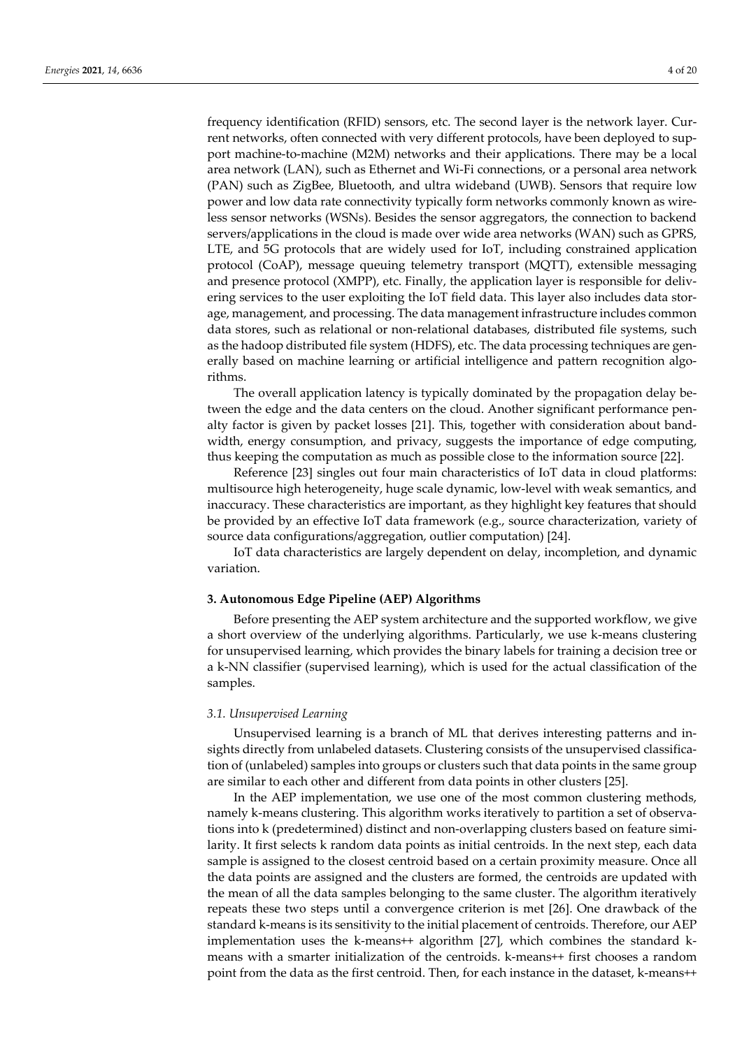frequency identification (RFID) sensors, etc. The second layer is the network layer. Current networks, often connected with very different protocols, have been deployed to support machine-to-machine (M2M) networks and their applications. There may be a local area network (LAN), such as Ethernet and Wi-Fi connections, or a personal area network (PAN) such as ZigBee, Bluetooth, and ultra wideband (UWB). Sensors that require low power and low data rate connectivity typically form networks commonly known as wireless sensor networks (WSNs). Besides the sensor aggregators, the connection to backend servers/applications in the cloud is made over wide area networks (WAN) such as GPRS, LTE, and 5G protocols that are widely used for IoT, including constrained application protocol (CoAP), message queuing telemetry transport (MQTT), extensible messaging and presence protocol (XMPP), etc. Finally, the application layer is responsible for delivering services to the user exploiting the IoT field data. This layer also includes data storage, management, and processing. The data management infrastructure includes common data stores, such as relational or non-relational databases, distributed file systems, such as the hadoop distributed file system (HDFS), etc. The data processing techniques are generally based on machine learning or artificial intelligence and pattern recognition algorithms.

The overall application latency is typically dominated by the propagation delay between the edge and the data centers on the cloud. Another significant performance penalty factor is given by packet losses [21]. This, together with consideration about bandwidth, energy consumption, and privacy, suggests the importance of edge computing, thus keeping the computation as much as possible close to the information source [22].

Reference [23] singles out four main characteristics of IoT data in cloud platforms: multisource high heterogeneity, huge scale dynamic, low-level with weak semantics, and inaccuracy. These characteristics are important, as they highlight key features that should be provided by an effective IoT data framework (e.g., source characterization, variety of source data configurations/aggregation, outlier computation) [24].

IoT data characteristics are largely dependent on delay, incompletion, and dynamic variation.

### **3. Autonomous Edge Pipeline (AEP) Algorithms**

Before presenting the AEP system architecture and the supported workflow, we give a short overview of the underlying algorithms. Particularly, we use k-means clustering for unsupervised learning, which provides the binary labels for training a decision tree or a k-NN classifier (supervised learning), which is used for the actual classification of the samples.

# *3.1. Unsupervised Learning*

Unsupervised learning is a branch of ML that derives interesting patterns and insights directly from unlabeled datasets. Clustering consists of the unsupervised classification of (unlabeled) samples into groups or clusters such that data points in the same group are similar to each other and different from data points in other clusters [25].

In the AEP implementation, we use one of the most common clustering methods, namely k-means clustering. This algorithm works iteratively to partition a set of observations into k (predetermined) distinct and non-overlapping clusters based on feature similarity. It first selects k random data points as initial centroids. In the next step, each data sample is assigned to the closest centroid based on a certain proximity measure. Once all the data points are assigned and the clusters are formed, the centroids are updated with the mean of all the data samples belonging to the same cluster. The algorithm iteratively repeats these two steps until a convergence criterion is met [26]. One drawback of the standard k-means is its sensitivity to the initial placement of centroids. Therefore, our AEP implementation uses the k-means++ algorithm [27], which combines the standard kmeans with a smarter initialization of the centroids. k-means++ first chooses a random point from the data as the first centroid. Then, for each instance in the dataset, k-means++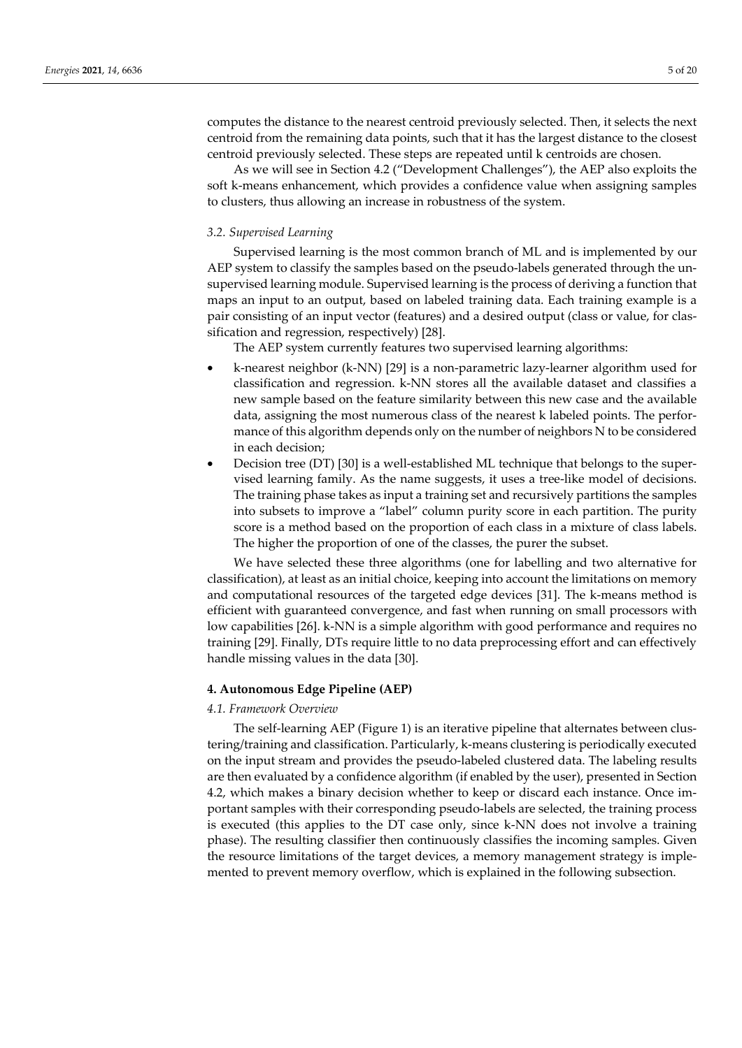computes the distance to the nearest centroid previously selected. Then, it selects the next centroid from the remaining data points, such that it has the largest distance to the closest centroid previously selected. These steps are repeated until k centroids are chosen.

As we will see in Section 4.2 ("Development Challenges"), the AEP also exploits the soft k-means enhancement, which provides a confidence value when assigning samples to clusters, thus allowing an increase in robustness of the system.

# *3.2. Supervised Learning*

Supervised learning is the most common branch of ML and is implemented by our AEP system to classify the samples based on the pseudo-labels generated through the unsupervised learning module. Supervised learning is the process of deriving a function that maps an input to an output, based on labeled training data. Each training example is a pair consisting of an input vector (features) and a desired output (class or value, for classification and regression, respectively) [28].

The AEP system currently features two supervised learning algorithms:

- k-nearest neighbor (k-NN) [29] is a non-parametric lazy-learner algorithm used for classification and regression. k-NN stores all the available dataset and classifies a new sample based on the feature similarity between this new case and the available data, assigning the most numerous class of the nearest k labeled points. The performance of this algorithm depends only on the number of neighbors N to be considered in each decision;
- Decision tree (DT) [30] is a well-established ML technique that belongs to the supervised learning family. As the name suggests, it uses a tree-like model of decisions. The training phase takes as input a training set and recursively partitions the samples into subsets to improve a "label" column purity score in each partition. The purity score is a method based on the proportion of each class in a mixture of class labels. The higher the proportion of one of the classes, the purer the subset.

We have selected these three algorithms (one for labelling and two alternative for classification), at least as an initial choice, keeping into account the limitations on memory and computational resources of the targeted edge devices [31]. The k-means method is efficient with guaranteed convergence, and fast when running on small processors with low capabilities [26]. k-NN is a simple algorithm with good performance and requires no training [29]. Finally, DTs require little to no data preprocessing effort and can effectively handle missing values in the data [30].

# **4. Autonomous Edge Pipeline (AEP)**

# *4.1. Framework Overview*

The self-learning AEP (Figure 1) is an iterative pipeline that alternates between clustering/training and classification. Particularly, k-means clustering is periodically executed on the input stream and provides the pseudo-labeled clustered data. The labeling results are then evaluated by a confidence algorithm (if enabled by the user), presented in Section 4.2, which makes a binary decision whether to keep or discard each instance. Once important samples with their corresponding pseudo-labels are selected, the training process is executed (this applies to the DT case only, since k-NN does not involve a training phase). The resulting classifier then continuously classifies the incoming samples. Given the resource limitations of the target devices, a memory management strategy is implemented to prevent memory overflow, which is explained in the following subsection.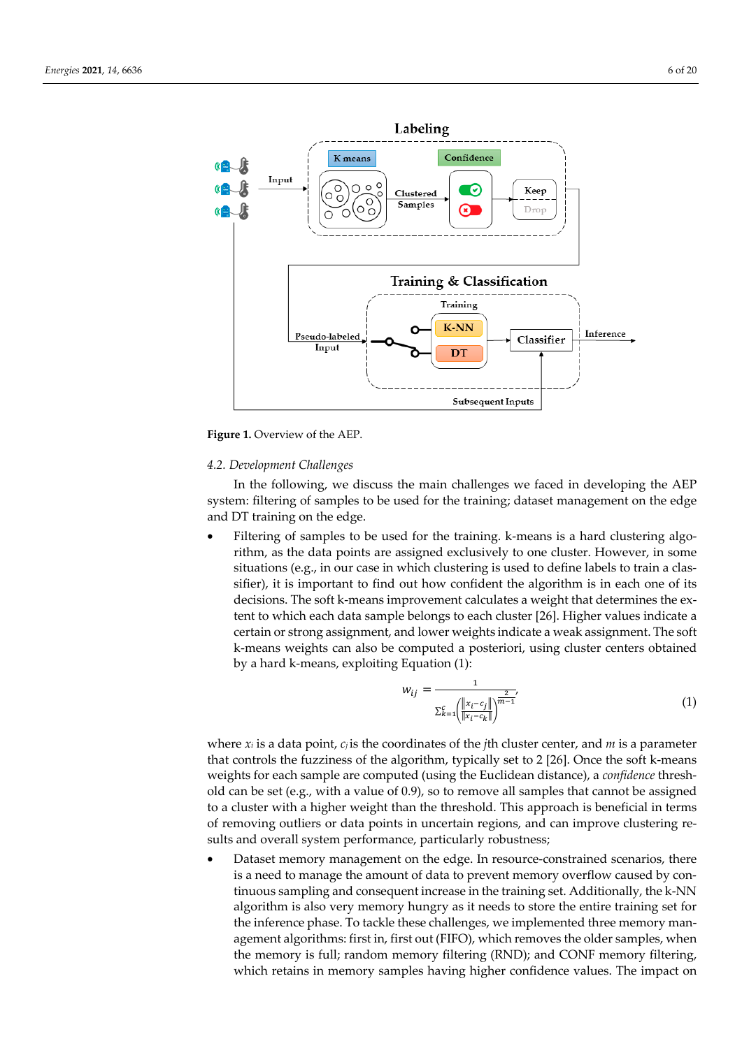

**Figure 1.** Overview of the AEP.

### *4.2. Development Challenges*

In the following, we discuss the main challenges we faced in developing the AEP system: filtering of samples to be used for the training; dataset management on the edge and DT training on the edge.

• Filtering of samples to be used for the training. k-means is a hard clustering algorithm, as the data points are assigned exclusively to one cluster. However, in some situations (e.g., in our case in which clustering is used to define labels to train a classifier), it is important to find out how confident the algorithm is in each one of its decisions. The soft k-means improvement calculates a weight that determines the extent to which each data sample belongs to each cluster [26]. Higher values indicate a certain or strong assignment, and lower weights indicate a weak assignment. The soft k-means weights can also be computed a posteriori, using cluster centers obtained by a hard k-means, exploiting Equation (1):

$$
w_{ij} = \frac{1}{\sum_{k=1}^{c} \left( \frac{\|x_i - c_j\|}{\|x_i - c_k\|} \right)^{\frac{2}{m-1}}}
$$
(1)

where  $x_i$  is a data point,  $c_i$  is the coordinates of the *j*th cluster center, and *m* is a parameter that controls the fuzziness of the algorithm, typically set to 2 [26]. Once the soft k-means weights for each sample are computed (using the Euclidean distance), a *confidence* threshold can be set (e.g., with a value of 0.9), so to remove all samples that cannot be assigned to a cluster with a higher weight than the threshold. This approach is beneficial in terms of removing outliers or data points in uncertain regions, and can improve clustering results and overall system performance, particularly robustness;

Dataset memory management on the edge. In resource-constrained scenarios, there is a need to manage the amount of data to prevent memory overflow caused by continuous sampling and consequent increase in the training set. Additionally, the k-NN algorithm is also very memory hungry as it needs to store the entire training set for the inference phase. To tackle these challenges, we implemented three memory management algorithms: first in, first out (FIFO), which removes the older samples, when the memory is full; random memory filtering (RND); and CONF memory filtering, which retains in memory samples having higher confidence values. The impact on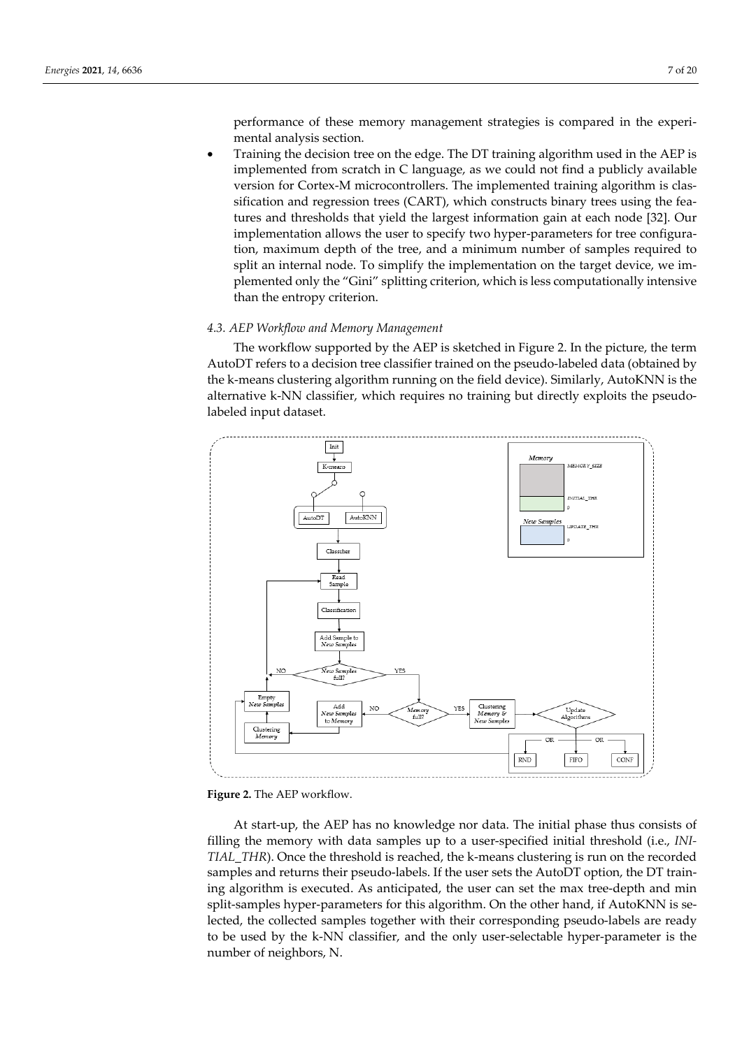performance of these memory management strategies is compared in the experimental analysis section.

• Training the decision tree on the edge. The DT training algorithm used in the AEP is implemented from scratch in C language, as we could not find a publicly available version for Cortex-M microcontrollers. The implemented training algorithm is classification and regression trees (CART), which constructs binary trees using the features and thresholds that yield the largest information gain at each node [32]. Our implementation allows the user to specify two hyper-parameters for tree configuration, maximum depth of the tree, and a minimum number of samples required to split an internal node. To simplify the implementation on the target device, we implemented only the "Gini" splitting criterion, which is less computationally intensive than the entropy criterion.

# *4.3. AEP Workflow and Memory Management*

The workflow supported by the AEP is sketched in Figure 2. In the picture, the term AutoDT refers to a decision tree classifier trained on the pseudo-labeled data (obtained by the k-means clustering algorithm running on the field device). Similarly, AutoKNN is the alternative k-NN classifier, which requires no training but directly exploits the pseudolabeled input dataset.





At start-up, the AEP has no knowledge nor data. The initial phase thus consists of filling the memory with data samples up to a user-specified initial threshold (i.e., *INI-TIAL\_THR*). Once the threshold is reached, the k-means clustering is run on the recorded samples and returns their pseudo-labels. If the user sets the AutoDT option, the DT training algorithm is executed. As anticipated, the user can set the max tree-depth and min split-samples hyper-parameters for this algorithm. On the other hand, if AutoKNN is selected, the collected samples together with their corresponding pseudo-labels are ready to be used by the k-NN classifier, and the only user-selectable hyper-parameter is the number of neighbors, N.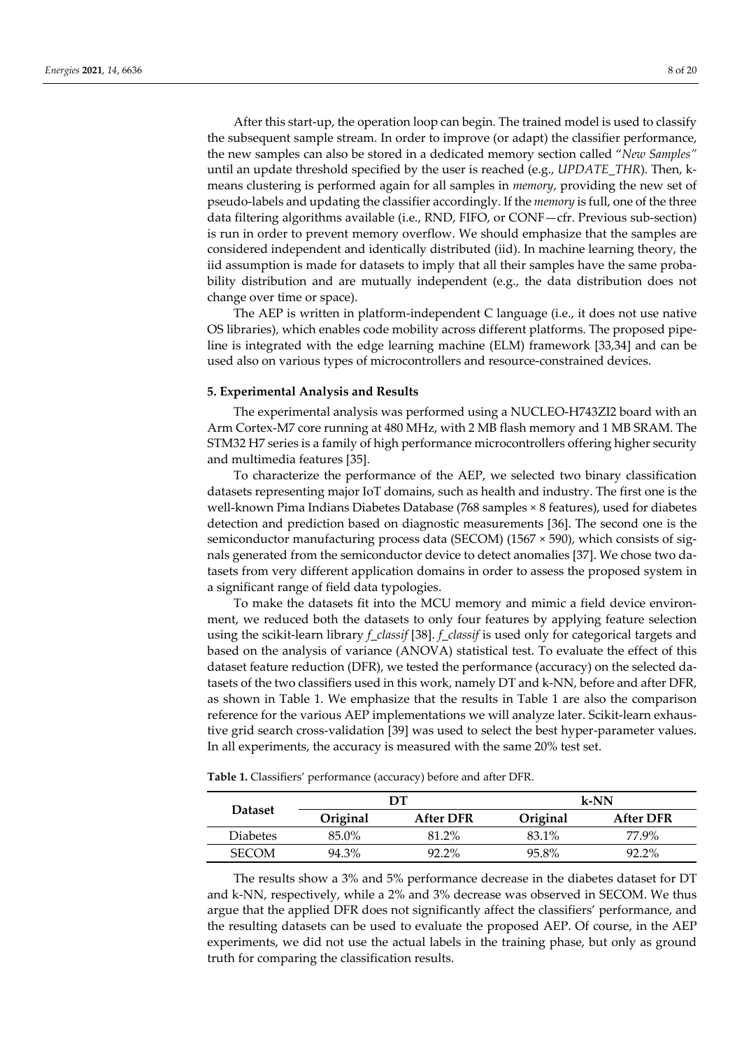After this start-up, the operation loop can begin. The trained model is used to classify the subsequent sample stream. In order to improve (or adapt) the classifier performance, the new samples can also be stored in a dedicated memory section called "*New Samples"* until an update threshold specified by the user is reached (e.g., *UPDATE\_THR*). Then, kmeans clustering is performed again for all samples in *memory*, providing the new set of pseudo-labels and updating the classifier accordingly. If the *memory* is full, one of the three data filtering algorithms available (i.e., RND, FIFO, or CONF—cfr. Previous sub-section) is run in order to prevent memory overflow. We should emphasize that the samples are considered independent and identically distributed (iid). In machine learning theory, the iid assumption is made for datasets to imply that all their samples have the same probability distribution and are mutually independent (e.g., the data distribution does not change over time or space).

The AEP is written in platform-independent C language (i.e., it does not use native OS libraries), which enables code mobility across different platforms. The proposed pipeline is integrated with the edge learning machine (ELM) framework [33,34] and can be used also on various types of microcontrollers and resource-constrained devices.

### **5. Experimental Analysis and Results**

The experimental analysis was performed using a NUCLEO-H743ZI2 board with an Arm Cortex-M7 core running at 480 MHz, with 2 MB flash memory and 1 MB SRAM. The STM32 H7 series is a family of high performance microcontrollers offering higher security and multimedia features [35].

To characterize the performance of the AEP, we selected two binary classification datasets representing major IoT domains, such as health and industry. The first one is the well-known Pima Indians Diabetes Database (768 samples × 8 features), used for diabetes detection and prediction based on diagnostic measurements [36]. The second one is the semiconductor manufacturing process data (SECOM) (1567 × 590), which consists of signals generated from the semiconductor device to detect anomalies [37]. We chose two datasets from very different application domains in order to assess the proposed system in a significant range of field data typologies.

To make the datasets fit into the MCU memory and mimic a field device environment, we reduced both the datasets to only four features by applying feature selection using the scikit-learn library *f\_classif* [38]. *f\_classif* is used only for categorical targets and based on the analysis of variance (ANOVA) statistical test. To evaluate the effect of this dataset feature reduction (DFR), we tested the performance (accuracy) on the selected datasets of the two classifiers used in this work, namely DT and k-NN, before and after DFR, as shown in Table 1. We emphasize that the results in Table 1 are also the comparison reference for the various AEP implementations we will analyze later. Scikit-learn exhaustive grid search cross-validation [39] was used to select the best hyper-parameter values. In all experiments, the accuracy is measured with the same 20% test set.

| <b>Dataset</b>  |          | DТ               | $k$ -NN  |                  |  |  |
|-----------------|----------|------------------|----------|------------------|--|--|
|                 | Original | <b>After DFR</b> | Original | <b>After DFR</b> |  |  |
| <b>Diabetes</b> | $85.0\%$ | 81.2%            | 83.1%    | 77.9%            |  |  |
| <b>SECOM</b>    | 94.3%    | $92.2\%$         | 95.8%    | $92.2\%$         |  |  |

**Table 1.** Classifiers' performance (accuracy) before and after DFR.

The results show a 3% and 5% performance decrease in the diabetes dataset for DT and k-NN, respectively, while a 2% and 3% decrease was observed in SECOM. We thus argue that the applied DFR does not significantly affect the classifiers' performance, and the resulting datasets can be used to evaluate the proposed AEP. Of course, in the AEP experiments, we did not use the actual labels in the training phase, but only as ground truth for comparing the classification results.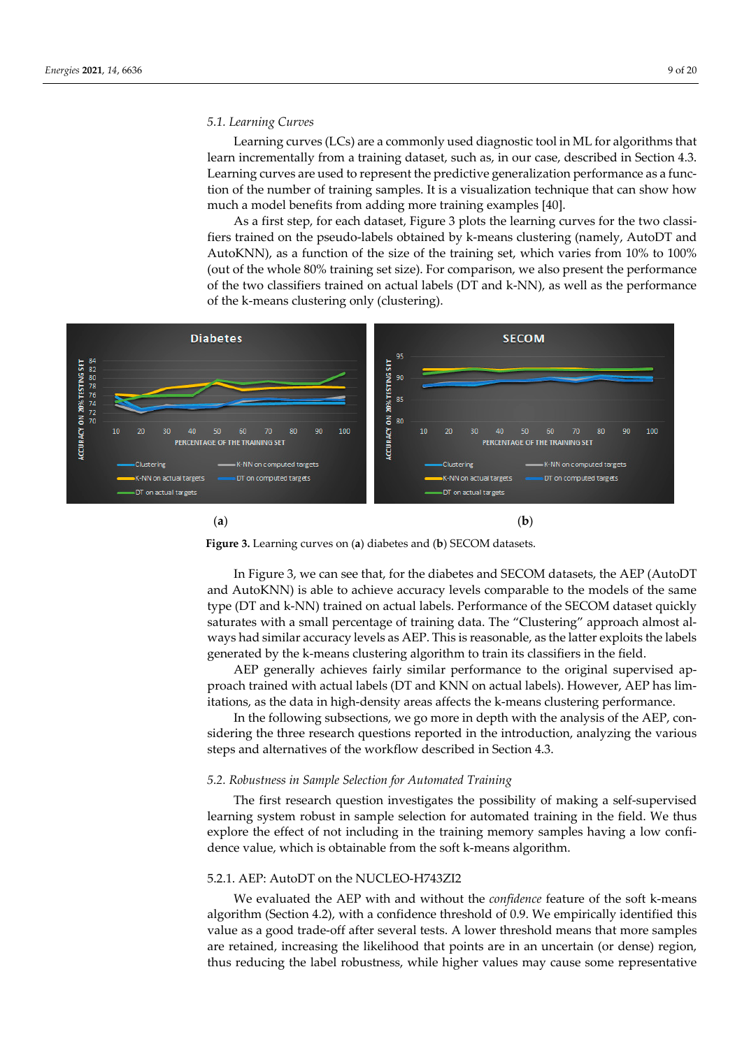# *5.1. Learning Curves*

Learning curves (LCs) are a commonly used diagnostic tool in ML for algorithms that learn incrementally from a training dataset, such as, in our case, described in Section 4.3. Learning curves are used to represent the predictive generalization performance as a function of the number of training samples. It is a visualization technique that can show how much a model benefits from adding more training examples [40].

As a first step, for each dataset, Figure 3 plots the learning curves for the two classifiers trained on the pseudo-labels obtained by k-means clustering (namely, AutoDT and AutoKNN), as a function of the size of the training set, which varies from 10% to 100% (out of the whole 80% training set size). For comparison, we also present the performance of the two classifiers trained on actual labels (DT and k-NN), as well as the performance of the k-means clustering only (clustering).



(**a**) (**b**)



In Figure 3, we can see that, for the diabetes and SECOM datasets, the AEP (AutoDT and AutoKNN) is able to achieve accuracy levels comparable to the models of the same type (DT and k-NN) trained on actual labels. Performance of the SECOM dataset quickly saturates with a small percentage of training data. The "Clustering" approach almost always had similar accuracy levels as AEP. This is reasonable, as the latter exploits the labels generated by the k-means clustering algorithm to train its classifiers in the field.

AEP generally achieves fairly similar performance to the original supervised approach trained with actual labels (DT and KNN on actual labels). However, AEP has limitations, as the data in high-density areas affects the k-means clustering performance.

In the following subsections, we go more in depth with the analysis of the AEP, considering the three research questions reported in the introduction, analyzing the various steps and alternatives of the workflow described in Section 4.3.

# *5.2. Robustness in Sample Selection for Automated Training*

The first research question investigates the possibility of making a self-supervised learning system robust in sample selection for automated training in the field. We thus explore the effect of not including in the training memory samples having a low confidence value, which is obtainable from the soft k-means algorithm.

# 5.2.1. AEP: AutoDT on the NUCLEO-H743ZI2

We evaluated the AEP with and without the *confidence* feature of the soft k-means algorithm (Section 4.2), with a confidence threshold of 0.9. We empirically identified this value as a good trade-off after several tests. A lower threshold means that more samples are retained, increasing the likelihood that points are in an uncertain (or dense) region, thus reducing the label robustness, while higher values may cause some representative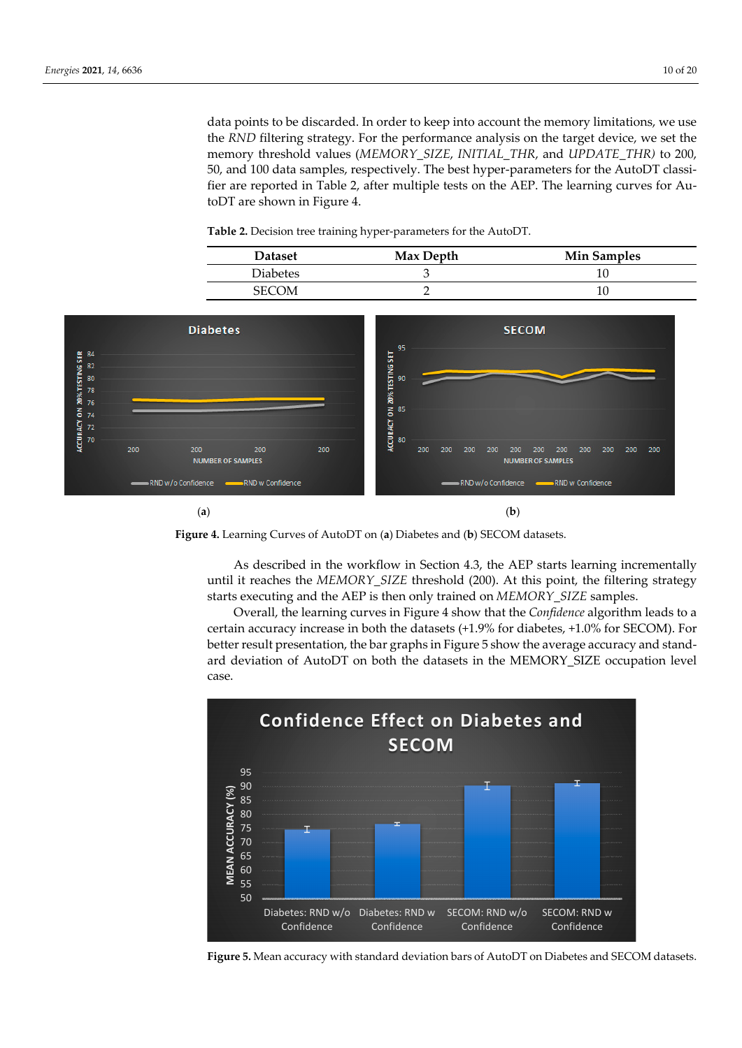data points to be discarded. In order to keep into account the memory limitations, we use the *RND* filtering strategy. For the performance analysis on the target device, we set the memory threshold values (*MEMORY\_SIZE*, *INITIAL\_THR*, and *UPDATE\_THR)* to 200, 50, and 100 data samples, respectively. The best hyper-parameters for the AutoDT classifier are reported in Table 2, after multiple tests on the AEP. The learning curves for AutoDT are shown in Figure 4.

| <b>Dataset</b>  | Max Depth | <b>Min Samples</b> |
|-----------------|-----------|--------------------|
| <b>Diabetes</b> |           |                    |
| SECOM           |           |                    |







As described in the workflow in Section 4.3, the AEP starts learning incrementally until it reaches the *MEMORY\_SIZE* threshold (200). At this point, the filtering strategy starts executing and the AEP is then only trained on *MEMORY\_SIZE* samples.

Overall, the learning curves in Figure 4 show that the *Confidence* algorithm leads to a certain accuracy increase in both the datasets (+1.9% for diabetes, +1.0% for SECOM). For better result presentation, the bar graphs in Figure 5 show the average accuracy and standard deviation of AutoDT on both the datasets in the MEMORY\_SIZE occupation level case.



**Figure 5.** Mean accuracy with standard deviation bars of AutoDT on Diabetes and SECOM datasets.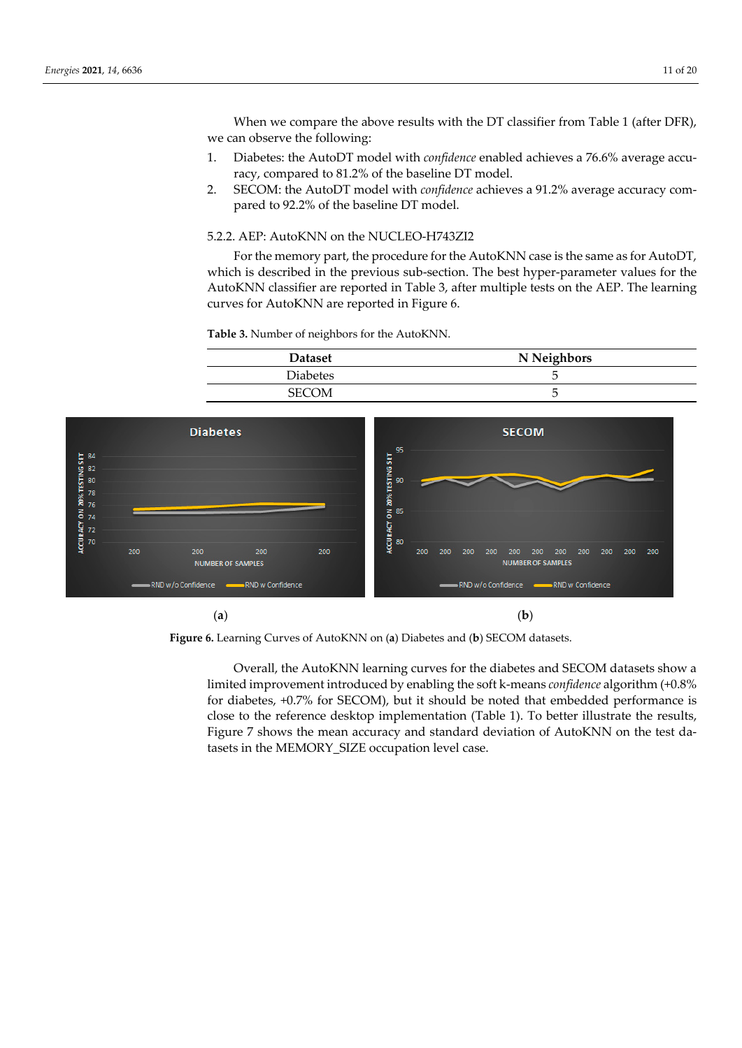When we compare the above results with the DT classifier from Table 1 (after DFR), we can observe the following:

- 1. Diabetes: the AutoDT model with *confidence* enabled achieves a 76.6% average accuracy, compared to 81.2% of the baseline DT model.
- 2. SECOM: the AutoDT model with *confidence* achieves a 91.2% average accuracy compared to 92.2% of the baseline DT model.

# 5.2.2. AEP: AutoKNN on the NUCLEO-H743ZI2

For the memory part, the procedure for the AutoKNN case is the same as for AutoDT, which is described in the previous sub-section. The best hyper-parameter values for the AutoKNN classifier are reported in Table 3, after multiple tests on the AEP. The learning curves for AutoKNN are reported in Figure 6.

**Table 3.** Number of neighbors for the AutoKNN.





**Figure 6.** Learning Curves of AutoKNN on (**a**) Diabetes and (**b**) SECOM datasets.

Overall, the AutoKNN learning curves for the diabetes and SECOM datasets show a limited improvement introduced by enabling the soft k-means *confidence* algorithm (+0.8% for diabetes, +0.7% for SECOM), but it should be noted that embedded performance is close to the reference desktop implementation (Table 1). To better illustrate the results, Figure 7 shows the mean accuracy and standard deviation of AutoKNN on the test datasets in the MEMORY\_SIZE occupation level case.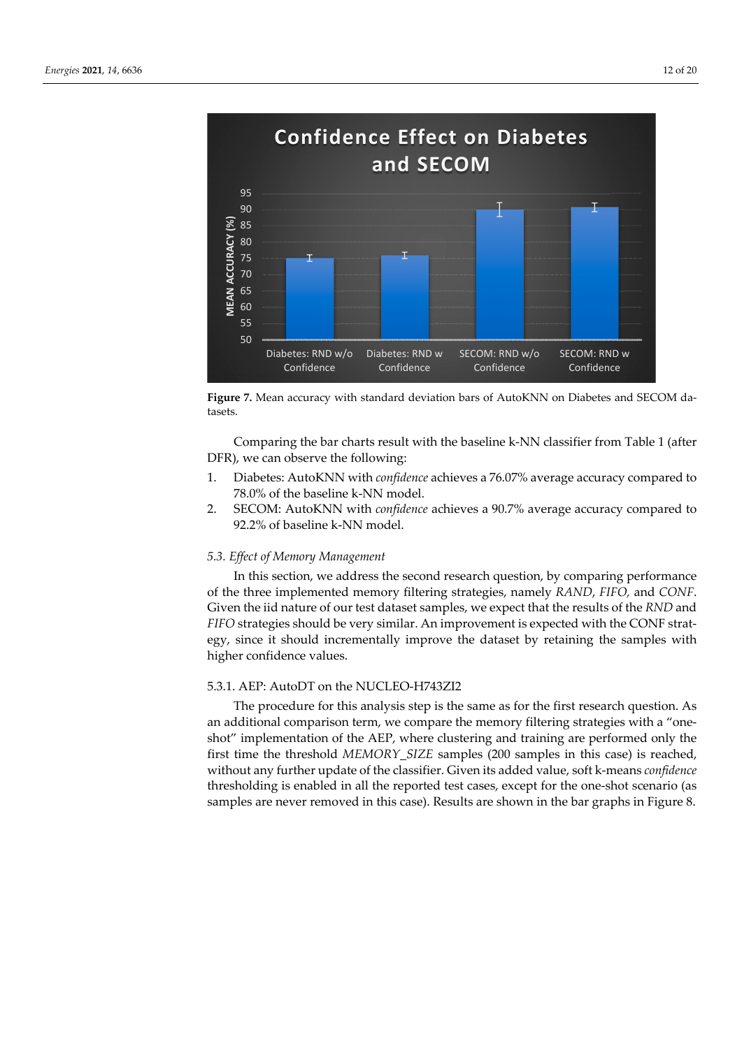

**Figure 7.** Mean accuracy with standard deviation bars of AutoKNN on Diabetes and SECOM datasets.

Comparing the bar charts result with the baseline k-NN classifier from Table 1 (after DFR), we can observe the following:

- 1. Diabetes: AutoKNN with *confidence* achieves a 76.07% average accuracy compared to 78.0% of the baseline k-NN model.
- 2. SECOM: AutoKNN with *confidence* achieves a 90.7% average accuracy compared to 92.2% of baseline k-NN model.

# *5.3. Effect of Memory Management*

In this section, we address the second research question, by comparing performance of the three implemented memory filtering strategies, namely *RAND*, *FIFO,* and *CONF*. Given the iid nature of our test dataset samples, we expect that the results of the *RND* and *FIFO* strategies should be very similar. An improvement is expected with the CONF strategy, since it should incrementally improve the dataset by retaining the samples with higher confidence values.

# 5.3.1. AEP: AutoDT on the NUCLEO-H743ZI2

The procedure for this analysis step is the same as for the first research question. As an additional comparison term, we compare the memory filtering strategies with a "oneshot" implementation of the AEP, where clustering and training are performed only the first time the threshold *MEMORY\_SIZE* samples (200 samples in this case) is reached, without any further update of the classifier. Given its added value, soft k-means *confidence* thresholding is enabled in all the reported test cases, except for the one-shot scenario (as samples are never removed in this case). Results are shown in the bar graphs in Figure 8.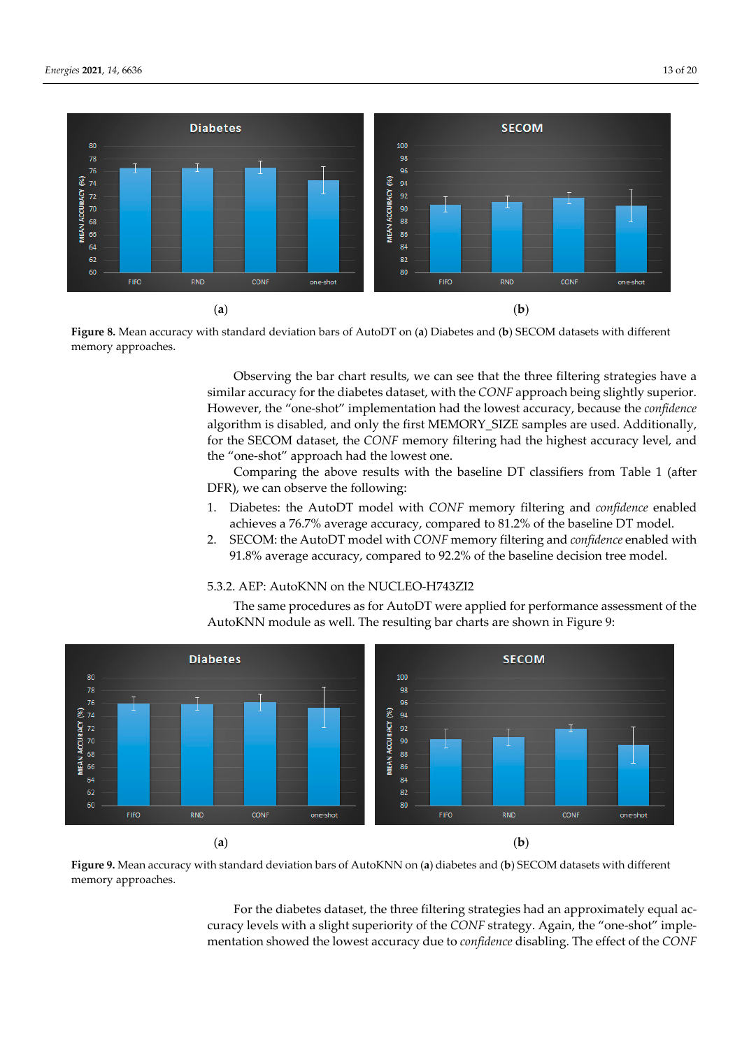

**Figure 8.** Mean accuracy with standard deviation bars of AutoDT on (**a**) Diabetes and (**b**) SECOM datasets with different memory approaches.

Observing the bar chart results, we can see that the three filtering strategies have a similar accuracy for the diabetes dataset, with the *CONF* approach being slightly superior. However, the "one-shot" implementation had the lowest accuracy, because the *confidence* algorithm is disabled, and only the first MEMORY\_SIZE samples are used. Additionally, for the SECOM dataset, the *CONF* memory filtering had the highest accuracy level*,* and the "one-shot" approach had the lowest one.

Comparing the above results with the baseline DT classifiers from Table 1 (after DFR), we can observe the following:

- 1. Diabetes: the AutoDT model with *CONF* memory filtering and *confidence* enabled achieves a 76.7% average accuracy, compared to 81.2% of the baseline DT model.
- 2. SECOM: the AutoDT model with *CONF* memory filtering and *confidence* enabled with 91.8% average accuracy, compared to 92.2% of the baseline decision tree model.

# 5.3.2. AEP: AutoKNN on the NUCLEO-H743ZI2

The same procedures as for AutoDT were applied for performance assessment of the AutoKNN module as well. The resulting bar charts are shown in Figure 9:



**Figure 9.** Mean accuracy with standard deviation bars of AutoKNN on (**a**) diabetes and (**b**) SECOM datasets with different memory approaches.

For the diabetes dataset, the three filtering strategies had an approximately equal accuracy levels with a slight superiority of the *CONF* strategy. Again, the "one-shot" implementation showed the lowest accuracy due to *confidence* disabling. The effect of the *CONF*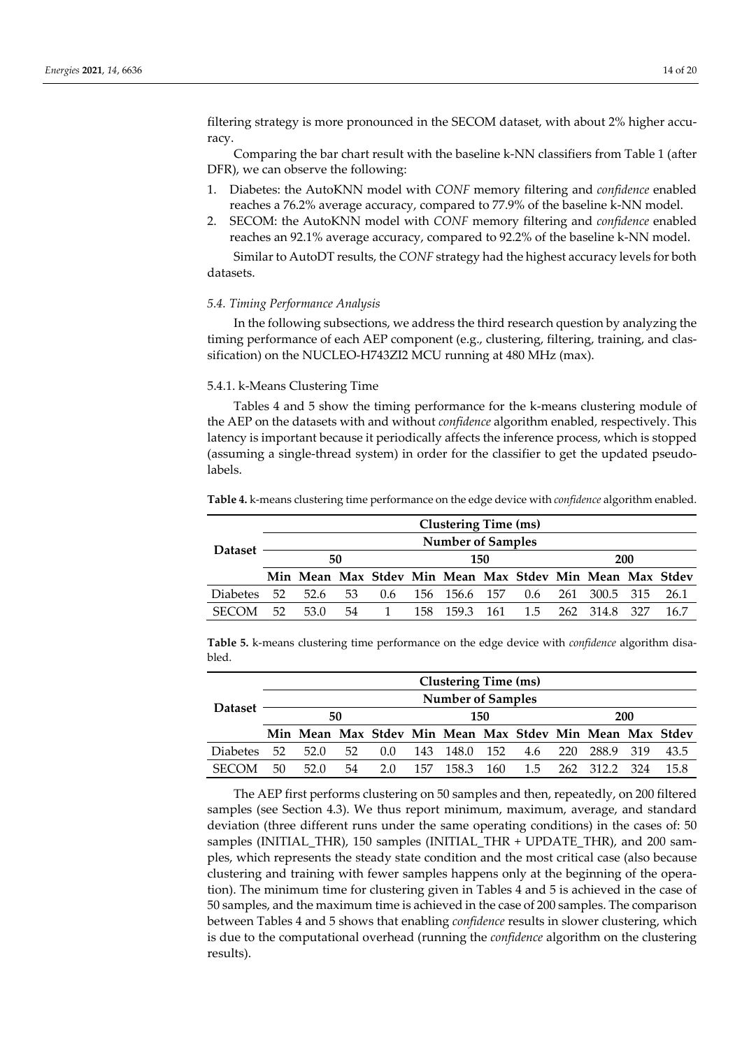filtering strategy is more pronounced in the SECOM dataset, with about 2% higher accuracy.

Comparing the bar chart result with the baseline k-NN classifiers from Table 1 (after DFR), we can observe the following:

- 1. Diabetes: the AutoKNN model with *CONF* memory filtering and *confidence* enabled reaches a 76.2% average accuracy, compared to 77.9% of the baseline k-NN model.
- 2. SECOM: the AutoKNN model with *CONF* memory filtering and *confidence* enabled reaches an 92.1% average accuracy, compared to 92.2% of the baseline k-NN model.

Similar to AutoDT results, the *CONF* strategy had the highest accuracy levels for both datasets.

# *5.4. Timing Performance Analysis*

In the following subsections, we address the third research question by analyzing the timing performance of each AEP component (e.g., clustering, filtering, training, and classification) on the NUCLEO-H743ZI2 MCU running at 480 MHz (max).

# 5.4.1. k-Means Clustering Time

Tables 4 and 5 show the timing performance for the k-means clustering module of the AEP on the datasets with and without *confidence* algorithm enabled, respectively. This latency is important because it periodically affects the inference process, which is stopped (assuming a single-thread system) in order for the classifier to get the updated pseudolabels.

**Table 4.** k-means clustering time performance on the edge device with *confidence* algorithm enabled.

|                 | <b>Clustering Time (ms)</b> |                                                          |    |                |     |               |  |     |  |               |  |      |
|-----------------|-----------------------------|----------------------------------------------------------|----|----------------|-----|---------------|--|-----|--|---------------|--|------|
|                 | <b>Number of Samples</b>    |                                                          |    |                |     |               |  |     |  |               |  |      |
| <b>Dataset</b>  |                             | 50<br>150                                                |    |                |     | 200           |  |     |  |               |  |      |
|                 |                             | Min Mean Max Stdev Min Mean Max Stdev Min Mean Max Stdev |    |                |     |               |  |     |  |               |  |      |
| <b>Diabetes</b> | 52                          | 52.6                                                     | 53 | 0.6            |     | 156 156.6 157 |  | 0.6 |  | 261 300.5 315 |  | 26.1 |
| <b>SECOM</b>    | 52                          | 53.0                                                     | 54 | $\overline{1}$ | 158 | 159.3 161 1.5 |  |     |  | 262 314.8 327 |  | 16.7 |

**Table 5.** k-means clustering time performance on the edge device with *confidence* algorithm disabled.

|                 | <b>Clustering Time (ms)</b> |                          |    |     |     |                                                          |     |     |      |         |       |      |
|-----------------|-----------------------------|--------------------------|----|-----|-----|----------------------------------------------------------|-----|-----|------|---------|-------|------|
|                 |                             | <b>Number of Samples</b> |    |     |     |                                                          |     |     |      |         |       |      |
| <b>Dataset</b>  |                             | 50<br>150                |    |     |     | 200                                                      |     |     |      |         |       |      |
|                 |                             |                          |    |     |     | Min Mean Max Stdev Min Mean Max Stdev Min Mean Max Stdev |     |     |      |         |       |      |
| <b>Diabetes</b> | 52                          | 52.0                     | 52 | 0.0 | 143 | 148.0                                                    | 152 | 4.6 | 220  | 288.9   | - 319 | 43.5 |
| <b>SECOM</b>    | 50                          | 52 O                     | 54 | 2.0 | 157 | 158.3                                                    | 160 | 1.5 | 262. | - 312.2 | 324   | 15.8 |

The AEP first performs clustering on 50 samples and then, repeatedly, on 200 filtered samples (see Section 4.3). We thus report minimum, maximum, average, and standard deviation (three different runs under the same operating conditions) in the cases of: 50 samples (INITIAL THR), 150 samples (INITIAL THR + UPDATE THR), and 200 samples, which represents the steady state condition and the most critical case (also because clustering and training with fewer samples happens only at the beginning of the operation). The minimum time for clustering given in Tables 4 and 5 is achieved in the case of 50 samples, and the maximum time is achieved in the case of 200 samples. The comparison between Tables 4 and 5 shows that enabling *confidence* results in slower clustering, which is due to the computational overhead (running the *confidence* algorithm on the clustering results).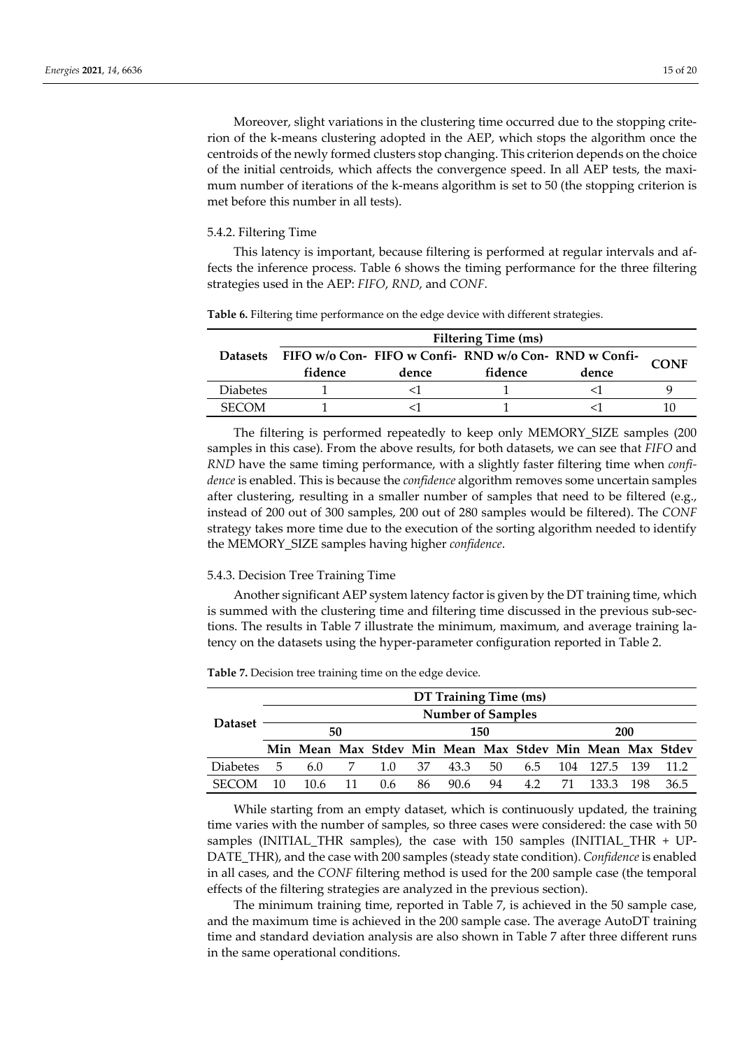Moreover, slight variations in the clustering time occurred due to the stopping criterion of the k-means clustering adopted in the AEP, which stops the algorithm once the centroids of the newly formed clusters stop changing. This criterion depends on the choice of the initial centroids, which affects the convergence speed. In all AEP tests, the maximum number of iterations of the k-means algorithm is set to 50 (the stopping criterion is met before this number in all tests).

# 5.4.2. Filtering Time

This latency is important, because filtering is performed at regular intervals and affects the inference process. Table 6 shows the timing performance for the three filtering strategies used in the AEP: *FIFO*, *RND*, and *CONF*.

| <b>Filtering Time (ms)</b> |                                                       |       |         |       |             |  |  |
|----------------------------|-------------------------------------------------------|-------|---------|-------|-------------|--|--|
| <b>Datasets</b>            | FIFO w/o Con- FIFO w Confi- RND w/o Con- RND w Confi- |       |         |       | <b>CONF</b> |  |  |
|                            | fidence                                               | dence | fidence | dence |             |  |  |
| Diabetes                   |                                                       |       |         |       |             |  |  |
| <b>SECOM</b>               |                                                       |       |         |       |             |  |  |

**Table 6.** Filtering time performance on the edge device with different strategies.

The filtering is performed repeatedly to keep only MEMORY\_SIZE samples (200 samples in this case). From the above results, for both datasets, we can see that *FIFO* and *RND* have the same timing performance, with a slightly faster filtering time when *confidence* is enabled. This is because the *confidence* algorithm removes some uncertain samples after clustering, resulting in a smaller number of samples that need to be filtered (e.g., instead of 200 out of 300 samples, 200 out of 280 samples would be filtered). The *CONF* strategy takes more time due to the execution of the sorting algorithm needed to identify the MEMORY\_SIZE samples having higher *confidence*.

## 5.4.3. Decision Tree Training Time

Another significant AEP system latency factor is given by the DT training time, which is summed with the clustering time and filtering time discussed in the previous sub-sections. The results in Table 7 illustrate the minimum, maximum, and average training latency on the datasets using the hyper-parameter configuration reported in Table 2.

|                 |                          |                                                          |    |     |    | DT Training Time (ms) |     |     |     |         |       |      |
|-----------------|--------------------------|----------------------------------------------------------|----|-----|----|-----------------------|-----|-----|-----|---------|-------|------|
|                 | <b>Number of Samples</b> |                                                          |    |     |    |                       |     |     |     |         |       |      |
| <b>Dataset</b>  |                          |                                                          | 50 |     |    |                       | 150 |     |     |         | 200   |      |
|                 |                          | Min Mean Max Stdev Min Mean Max Stdev Min Mean Max Stdev |    |     |    |                       |     |     |     |         |       |      |
| <b>Diabetes</b> | 5.                       | 6.0                                                      | 7  | 1.0 | 37 | 43.3                  | 50  | 6.5 | 104 | - 127.5 | - 139 | 11.2 |
| <b>SECOM</b>    | 10                       | 10.6                                                     | 11 | 0.6 | 86 | 90.6                  | 94  | 4.2 | 71  | 133.3   | 198   | 36.5 |

**Table 7.** Decision tree training time on the edge device.

While starting from an empty dataset, which is continuously updated, the training time varies with the number of samples, so three cases were considered: the case with 50 samples (INITIAL THR samples), the case with 150 samples (INITIAL THR  $+$  UP-DATE\_THR), and the case with 200 samples (steady state condition). *Confidence* is enabled in all cases, and the *CONF* filtering method is used for the 200 sample case (the temporal effects of the filtering strategies are analyzed in the previous section).

The minimum training time, reported in Table 7, is achieved in the 50 sample case, and the maximum time is achieved in the 200 sample case. The average AutoDT training time and standard deviation analysis are also shown in Table 7 after three different runs in the same operational conditions.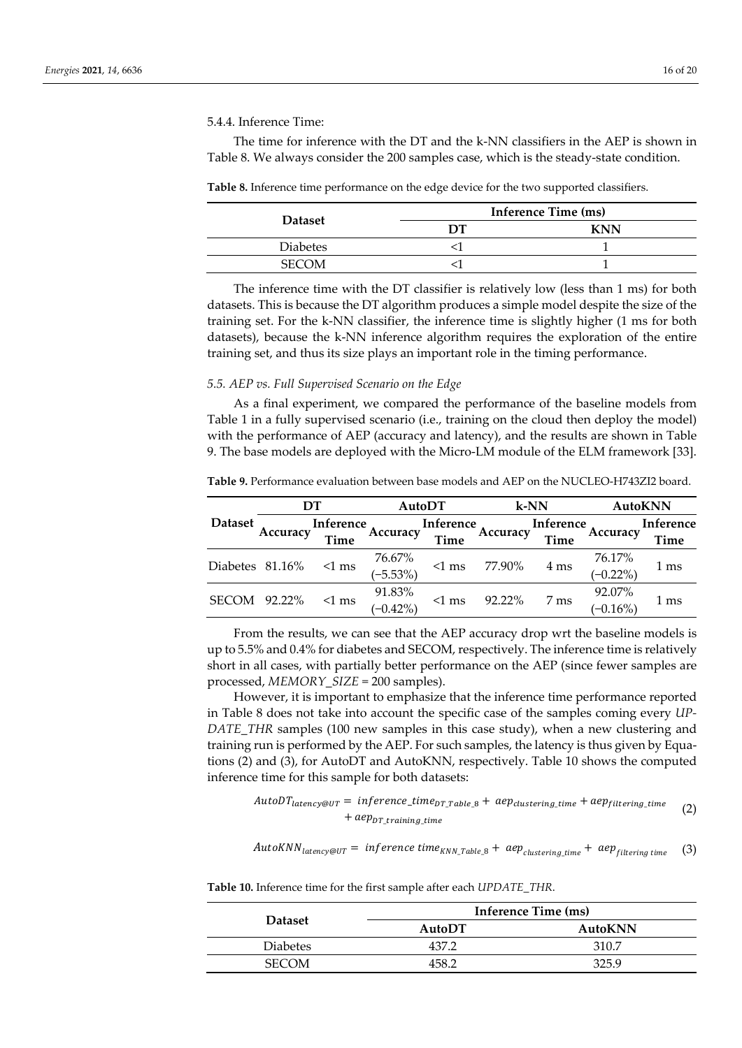The time for inference with the DT and the k-NN classifiers in the AEP is shown in Table 8. We always consider the 200 samples case, which is the steady-state condition.

| <b>Table 8.</b> Inference time performance on the edge device for the two supported classifiers. |  |  |  |
|--------------------------------------------------------------------------------------------------|--|--|--|
|                                                                                                  |  |  |  |

|                 |    | <b>Inference Time (ms)</b> |
|-----------------|----|----------------------------|
| <b>Dataset</b>  | DТ | <b>KNN</b>                 |
| <b>Diabetes</b> |    |                            |
| <b>SECOM</b>    |    |                            |

The inference time with the DT classifier is relatively low (less than 1 ms) for both datasets. This is because the DT algorithm produces a simple model despite the size of the training set. For the k-NN classifier, the inference time is slightly higher (1 ms for both datasets), because the k-NN inference algorithm requires the exploration of the entire training set, and thus its size plays an important role in the timing performance.

### *5.5. AEP vs. Full Supervised Scenario on the Edge*

As a final experiment, we compared the performance of the baseline models from Table 1 in a fully supervised scenario (i.e., training on the cloud then deploy the model) with the performance of AEP (accuracy and latency), and the results are shown in Table 9. The base models are deployed with the Micro-LM module of the ELM framework [33].

**Table 9.** Performance evaluation between base models and AEP on the NUCLEO-H743ZI2 board.

|                 | DТ       |             | AutoDT      |             |          | $k$ -NN   | AutoKNN     |                 |  |
|-----------------|----------|-------------|-------------|-------------|----------|-----------|-------------|-----------------|--|
| <b>Dataset</b>  |          | Inference   | Accuracy    | Inference   | Accuracy | Inference |             | Inference       |  |
|                 | Accuracy | <b>Time</b> |             | <b>Time</b> |          | Time      | Accuracy    | Time            |  |
| Diabetes 81.16% |          |             | 76.67%      |             | 77.90%   |           | 76.17%      |                 |  |
|                 |          | $\leq 1$ ms | $(-5.53%)$  | $<1$ ms     |          | 4 ms      | $(-0.22\%)$ | 1 <sub>ms</sub> |  |
|                 | 92.22%   | $<1$ ms     | 91.83%      |             | 92.22%   |           | 92.07%      |                 |  |
|                 |          |             | $(-0.42\%)$ | $\leq 1$ ms |          | 7 ms      | $(-0.16%)$  | 1 ms            |  |

From the results, we can see that the AEP accuracy drop wrt the baseline models is up to 5.5% and 0.4% for diabetes and SECOM, respectively. The inference time is relatively short in all cases, with partially better performance on the AEP (since fewer samples are processed, *MEMORY\_SIZE* = 200 samples).

However, it is important to emphasize that the inference time performance reported in Table 8 does not take into account the specific case of the samples coming every *UP-DATE\_THR* samples (100 new samples in this case study), when a new clustering and training run is performed by the AEP. For such samples, the latency is thus given by Equations (2) and (3), for AutoDT and AutoKNN, respectively. Table 10 shows the computed inference time for this sample for both datasets:

 $AutoDT_{latency@UT} = inference_time_{DT\_Table_8} + aep_{clustering_time} + aep_{filtering_time}$  $+$   $aep_{DT}$  training time (2)

 $AutokNN_{latency@UT} = inference time_{KNN\_Table\_8} + aep_{clustering\_time} + aep_{filtering\_time}$  (3)

**Table 10.** Inference time for the first sample after each *UPDATE\_THR*.

|                 |                  | Inference Time (ms) |
|-----------------|------------------|---------------------|
| <b>Dataset</b>  | AutoDT           | AutoKNN             |
| <b>Diabetes</b> | 437.             | 310.7               |
| <b>SECOM</b>    | 458 <sup>°</sup> | 325.9               |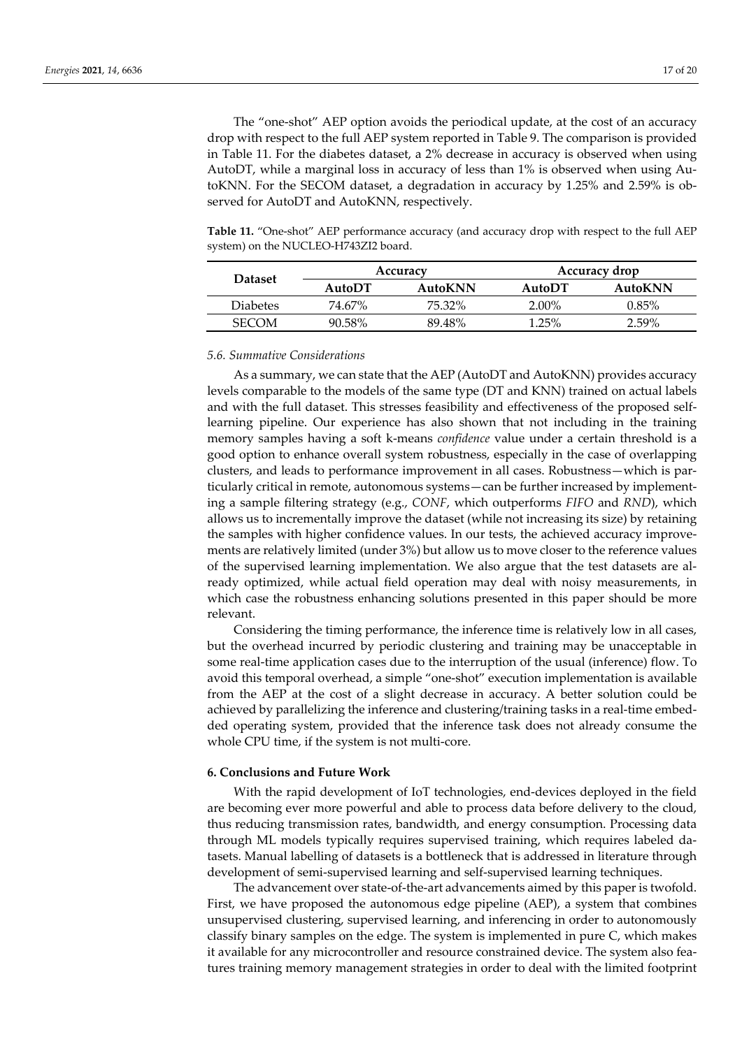The "one-shot" AEP option avoids the periodical update, at the cost of an accuracy drop with respect to the full AEP system reported in Table 9. The comparison is provided in Table 11. For the diabetes dataset, a 2% decrease in accuracy is observed when using AutoDT, while a marginal loss in accuracy of less than 1% is observed when using AutoKNN. For the SECOM dataset, a degradation in accuracy by 1.25% and 2.59% is observed for AutoDT and AutoKNN, respectively.

Table 11. "One-shot" AEP performance accuracy (and accuracy drop with respect to the full AEP system) on the NUCLEO-H743ZI2 board.

| <b>Dataset</b>  |           | Accuracy | Accuracy drop |          |  |
|-----------------|-----------|----------|---------------|----------|--|
|                 | $A$ utoDT | AutoKNN  | AutoDT        | AutoKNN  |  |
| <b>Diabetes</b> | 74.67%    | 75.32%   | $2.00\%$      | $0.85\%$ |  |
| <b>SECOM</b>    | 90.58%    | 89.48%   | 1.25%         | $2.59\%$ |  |

### *5.6. Summative Considerations*

As a summary, we can state that the AEP (AutoDT and AutoKNN) provides accuracy levels comparable to the models of the same type (DT and KNN) trained on actual labels and with the full dataset. This stresses feasibility and effectiveness of the proposed selflearning pipeline. Our experience has also shown that not including in the training memory samples having a soft k-means *confidence* value under a certain threshold is a good option to enhance overall system robustness, especially in the case of overlapping clusters, and leads to performance improvement in all cases. Robustness—which is particularly critical in remote, autonomous systems—can be further increased by implementing a sample filtering strategy (e.g., *CONF*, which outperforms *FIFO* and *RND*), which allows us to incrementally improve the dataset (while not increasing its size) by retaining the samples with higher confidence values. In our tests, the achieved accuracy improvements are relatively limited (under 3%) but allow us to move closer to the reference values of the supervised learning implementation. We also argue that the test datasets are already optimized, while actual field operation may deal with noisy measurements, in which case the robustness enhancing solutions presented in this paper should be more relevant.

Considering the timing performance, the inference time is relatively low in all cases, but the overhead incurred by periodic clustering and training may be unacceptable in some real-time application cases due to the interruption of the usual (inference) flow. To avoid this temporal overhead, a simple "one-shot" execution implementation is available from the AEP at the cost of a slight decrease in accuracy. A better solution could be achieved by parallelizing the inference and clustering/training tasks in a real-time embedded operating system, provided that the inference task does not already consume the whole CPU time, if the system is not multi-core.

# **6. Conclusions and Future Work**

With the rapid development of IoT technologies, end-devices deployed in the field are becoming ever more powerful and able to process data before delivery to the cloud, thus reducing transmission rates, bandwidth, and energy consumption. Processing data through ML models typically requires supervised training, which requires labeled datasets. Manual labelling of datasets is a bottleneck that is addressed in literature through development of semi-supervised learning and self-supervised learning techniques.

The advancement over state-of-the-art advancements aimed by this paper is twofold. First, we have proposed the autonomous edge pipeline (AEP), a system that combines unsupervised clustering, supervised learning, and inferencing in order to autonomously classify binary samples on the edge. The system is implemented in pure C, which makes it available for any microcontroller and resource constrained device. The system also features training memory management strategies in order to deal with the limited footprint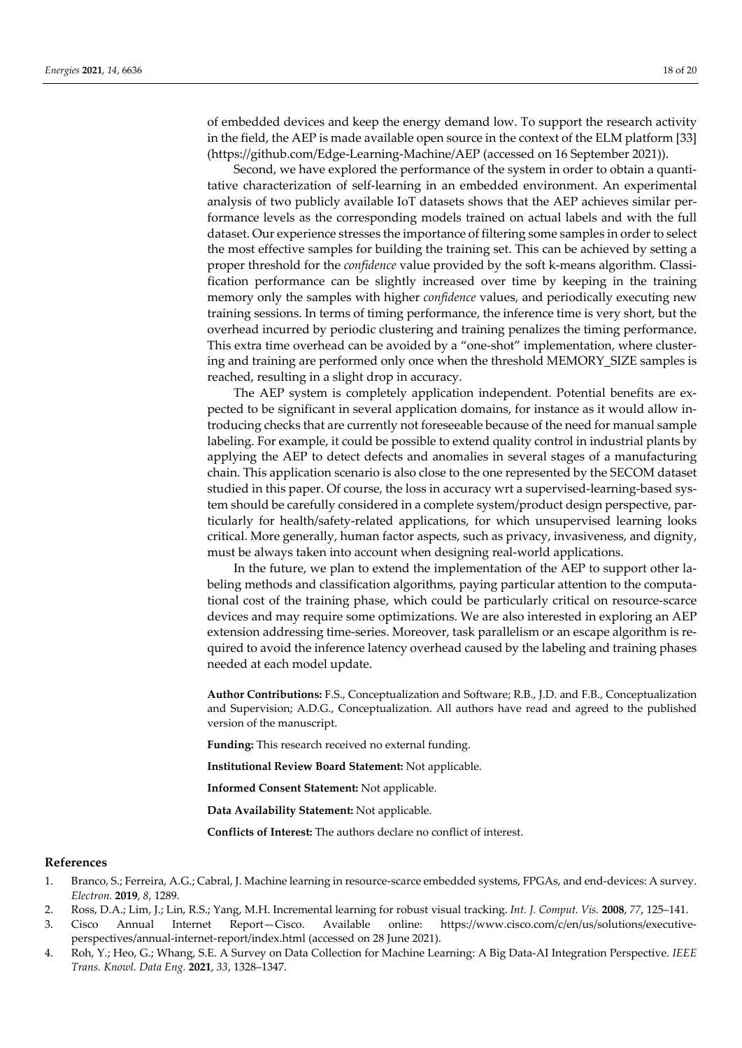of embedded devices and keep the energy demand low. To support the research activity in the field, the AEP is made available open source in the context of the ELM platform [33] (https://github.com/Edge-Learning-Machine/AEP (accessed on 16 September 2021)).

Second, we have explored the performance of the system in order to obtain a quantitative characterization of self-learning in an embedded environment. An experimental analysis of two publicly available IoT datasets shows that the AEP achieves similar performance levels as the corresponding models trained on actual labels and with the full dataset. Our experience stresses the importance of filtering some samples in order to select the most effective samples for building the training set. This can be achieved by setting a proper threshold for the *confidence* value provided by the soft k-means algorithm. Classification performance can be slightly increased over time by keeping in the training memory only the samples with higher *confidence* values, and periodically executing new training sessions. In terms of timing performance, the inference time is very short, but the overhead incurred by periodic clustering and training penalizes the timing performance. This extra time overhead can be avoided by a "one-shot" implementation, where clustering and training are performed only once when the threshold MEMORY\_SIZE samples is reached, resulting in a slight drop in accuracy.

The AEP system is completely application independent. Potential benefits are expected to be significant in several application domains, for instance as it would allow introducing checks that are currently not foreseeable because of the need for manual sample labeling. For example, it could be possible to extend quality control in industrial plants by applying the AEP to detect defects and anomalies in several stages of a manufacturing chain. This application scenario is also close to the one represented by the SECOM dataset studied in this paper. Of course, the loss in accuracy wrt a supervised-learning-based system should be carefully considered in a complete system/product design perspective, particularly for health/safety-related applications, for which unsupervised learning looks critical. More generally, human factor aspects, such as privacy, invasiveness, and dignity, must be always taken into account when designing real-world applications.

In the future, we plan to extend the implementation of the AEP to support other labeling methods and classification algorithms, paying particular attention to the computational cost of the training phase, which could be particularly critical on resource-scarce devices and may require some optimizations. We are also interested in exploring an AEP extension addressing time-series. Moreover, task parallelism or an escape algorithm is required to avoid the inference latency overhead caused by the labeling and training phases needed at each model update.

**Author Contributions:** F.S., Conceptualization and Software; R.B., J.D. and F.B., Conceptualization and Supervision; A.D.G., Conceptualization. All authors have read and agreed to the published version of the manuscript.

**Funding:** This research received no external funding.

**Institutional Review Board Statement:** Not applicable.

**Informed Consent Statement:** Not applicable.

**Data Availability Statement:** Not applicable.

**Conflicts of Interest:** The authors declare no conflict of interest.

# **References**

- 1. Branco, S.; Ferreira, A.G.; Cabral, J. Machine learning in resource-scarce embedded systems, FPGAs, and end-devices: A survey. *Electron.* **2019**, *8*, 1289.
- 2. Ross, D.A.; Lim, J.; Lin, R.S.; Yang, M.H. Incremental learning for robust visual tracking. *Int. J. Comput. Vis.* **2008**, *77*, 125–141.
- 3. Cisco Annual Internet Report—Cisco. Available online: https://www.cisco.com/c/en/us/solutions/executiveperspectives/annual-internet-report/index.html (accessed on 28 June 2021).
- 4. Roh, Y.; Heo, G.; Whang, S.E. A Survey on Data Collection for Machine Learning: A Big Data-AI Integration Perspective. *IEEE Trans. Knowl. Data Eng.* **2021**, *33*, 1328–1347.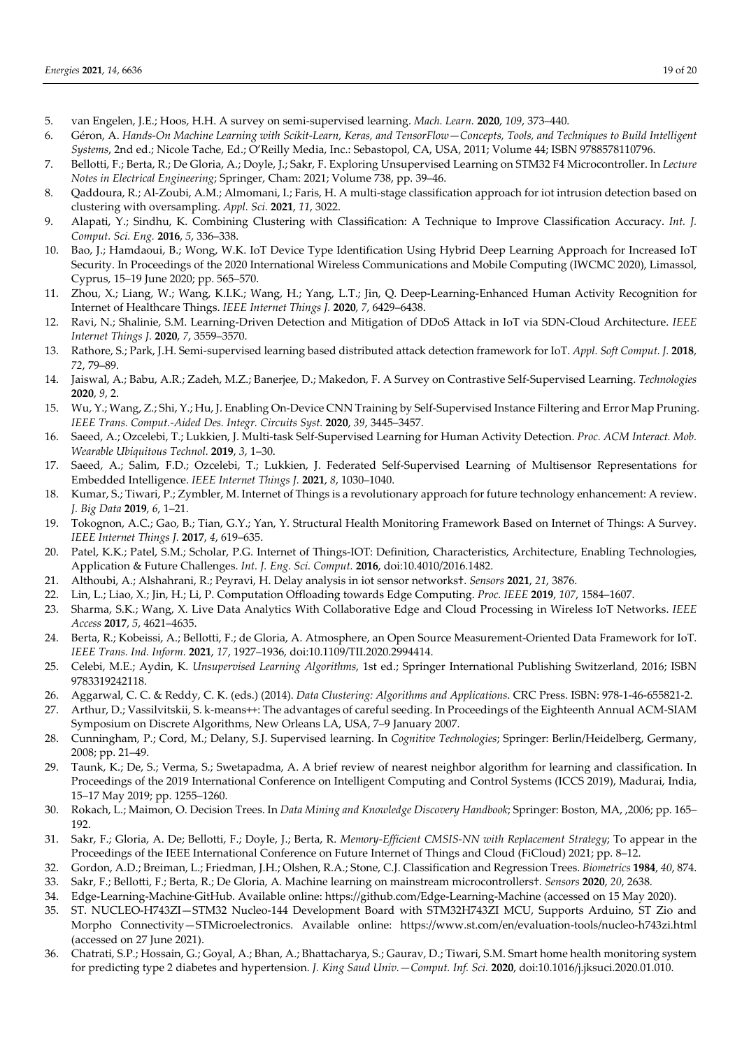- 5. van Engelen, J.E.; Hoos, H.H. A survey on semi-supervised learning. *Mach. Learn.* **2020**, *109*, 373–440.
- 6. Géron, A. *Hands-On Machine Learning with Scikit-Learn, Keras, and TensorFlow—Concepts, Tools, and Techniques to Build Intelligent Systems*, 2nd ed.; Nicole Tache, Ed.; O'Reilly Media, Inc.: Sebastopol, CA, USA, 2011; Volume 44; ISBN 9788578110796.
- 7. Bellotti, F.; Berta, R.; De Gloria, A.; Doyle, J.; Sakr, F. Exploring Unsupervised Learning on STM32 F4 Microcontroller. In *Lecture Notes in Electrical Engineering*; Springer, Cham: 2021; Volume 738, pp. 39–46.
- 8. Qaddoura, R.; Al-Zoubi, A.M.; Almomani, I.; Faris, H. A multi-stage classification approach for iot intrusion detection based on clustering with oversampling. *Appl. Sci.* **2021**, *11*, 3022.
- 9. Alapati, Y.; Sindhu, K. Combining Clustering with Classification: A Technique to Improve Classification Accuracy. *Int. J. Comput. Sci. Eng.* **2016**, *5*, 336–338.
- 10. Bao, J.; Hamdaoui, B.; Wong, W.K. IoT Device Type Identification Using Hybrid Deep Learning Approach for Increased IoT Security. In Proceedings of the 2020 International Wireless Communications and Mobile Computing (IWCMC 2020), Limassol, Cyprus, 15–19 June 2020; pp. 565–570.
- 11. Zhou, X.; Liang, W.; Wang, K.I.K.; Wang, H.; Yang, L.T.; Jin, Q. Deep-Learning-Enhanced Human Activity Recognition for Internet of Healthcare Things. *IEEE Internet Things J.* **2020**, *7*, 6429–6438.
- 12. Ravi, N.; Shalinie, S.M. Learning-Driven Detection and Mitigation of DDoS Attack in IoT via SDN-Cloud Architecture. *IEEE Internet Things J.* **2020**, *7*, 3559–3570.
- 13. Rathore, S.; Park, J.H. Semi-supervised learning based distributed attack detection framework for IoT. *Appl. Soft Comput. J.* **2018**, *72*, 79–89.
- 14. Jaiswal, A.; Babu, A.R.; Zadeh, M.Z.; Banerjee, D.; Makedon, F. A Survey on Contrastive Self-Supervised Learning. *Technologies* **2020**, *9*, 2.
- 15. Wu, Y.; Wang, Z.; Shi, Y.; Hu, J. Enabling On-Device CNN Training by Self-Supervised Instance Filtering and Error Map Pruning. *IEEE Trans. Comput.-Aided Des. Integr. Circuits Syst.* **2020**, *39*, 3445–3457.
- 16. Saeed, A.; Ozcelebi, T.; Lukkien, J. Multi-task Self-Supervised Learning for Human Activity Detection. *Proc. ACM Interact. Mob. Wearable Ubiquitous Technol.* **2019**, *3*, 1–30.
- 17. Saeed, A.; Salim, F.D.; Ozcelebi, T.; Lukkien, J. Federated Self-Supervised Learning of Multisensor Representations for Embedded Intelligence. *IEEE Internet Things J.* **2021**, *8*, 1030–1040.
- 18. Kumar, S.; Tiwari, P.; Zymbler, M. Internet of Things is a revolutionary approach for future technology enhancement: A review. *J. Big Data* **2019**, *6*, 1–21.
- 19. Tokognon, A.C.; Gao, B.; Tian, G.Y.; Yan, Y. Structural Health Monitoring Framework Based on Internet of Things: A Survey. *IEEE Internet Things J.* **2017**, *4*, 619–635.
- 20. Patel, K.K.; Patel, S.M.; Scholar, P.G. Internet of Things-IOT: Definition, Characteristics, Architecture, Enabling Technologies, Application & Future Challenges. *Int. J. Eng. Sci. Comput.* **2016**, doi:10.4010/2016.1482.
- 21. Althoubi, A.; Alshahrani, R.; Peyravi, H. Delay analysis in iot sensor networks†. *Sensors* **2021**, *21*, 3876.
- 22. Lin, L.; Liao, X.; Jin, H.; Li, P. Computation Offloading towards Edge Computing. *Proc. IEEE* **2019**, *107*, 1584–1607.
- 23. Sharma, S.K.; Wang, X. Live Data Analytics With Collaborative Edge and Cloud Processing in Wireless IoT Networks. *IEEE Access* **2017**, *5*, 4621–4635.
- 24. Berta, R.; Kobeissi, A.; Bellotti, F.; de Gloria, A. Atmosphere, an Open Source Measurement-Oriented Data Framework for IoT. *IEEE Trans. Ind. Inform.* **2021**, *17*, 1927–1936, doi:10.1109/TII.2020.2994414.
- 25. Celebi, M.E.; Aydin, K. *Unsupervised Learning Algorithms*, 1st ed.; Springer International Publishing Switzerland, 2016; ISBN 9783319242118.
- 26. Aggarwal, C. C. & Reddy, C. K. (eds.) (2014). *Data Clustering: Algorithms and Applications*. CRC Press. ISBN: 978-1-46-655821-2.
- 27. Arthur, D.; Vassilvitskii, S. k-means++: The advantages of careful seeding. In Proceedings of the Eighteenth Annual ACM-SIAM Symposium on Discrete Algorithms, New Orleans LA, USA, 7–9 January 2007.
- 28. Cunningham, P.; Cord, M.; Delany, S.J. Supervised learning. In *Cognitive Technologies*; Springer: Berlin/Heidelberg, Germany, 2008; pp. 21–49.
- 29. Taunk, K.; De, S.; Verma, S.; Swetapadma, A. A brief review of nearest neighbor algorithm for learning and classification. In Proceedings of the 2019 International Conference on Intelligent Computing and Control Systems (ICCS 2019), Madurai, India, 15–17 May 2019; pp. 1255–1260.
- 30. Rokach, L.; Maimon, O. Decision Trees. In *Data Mining and Knowledge Discovery Handbook*; Springer: Boston, MA, ,2006; pp. 165– 192.
- 31. Sakr, F.; Gloria, A. De; Bellotti, F.; Doyle, J.; Berta, R. *Memory-Efficient CMSIS-NN with Replacement Strategy*; To appear in the Proceedings of the IEEE International Conference on Future Internet of Things and Cloud (FiCloud) 2021; pp. 8–12.
- 32. Gordon, A.D.; Breiman, L.; Friedman, J.H.; Olshen, R.A.; Stone, C.J. Classification and Regression Trees. *Biometrics* **1984**, *40*, 874.
- 33. Sakr, F.; Bellotti, F.; Berta, R.; De Gloria, A. Machine learning on mainstream microcontrollers†. *Sensors* **2020**, *20*, 2638. 34. Edge-Learning-Machine·GitHub. Available online: https://github.com/Edge-Learning-Machine (accessed on 15 May 2020).
- 35. ST. NUCLEO-H743ZI—STM32 Nucleo-144 Development Board with STM32H743ZI MCU, Supports Arduino, ST Zio and Morpho Connectivity—STMicroelectronics. Available online: https://www.st.com/en/evaluation-tools/nucleo-h743zi.html (accessed on 27 June 2021).
- 36. Chatrati, S.P.; Hossain, G.; Goyal, A.; Bhan, A.; Bhattacharya, S.; Gaurav, D.; Tiwari, S.M. Smart home health monitoring system for predicting type 2 diabetes and hypertension. *J. King Saud Univ.—Comput. Inf. Sci.* **2020**, doi:10.1016/j.jksuci.2020.01.010.